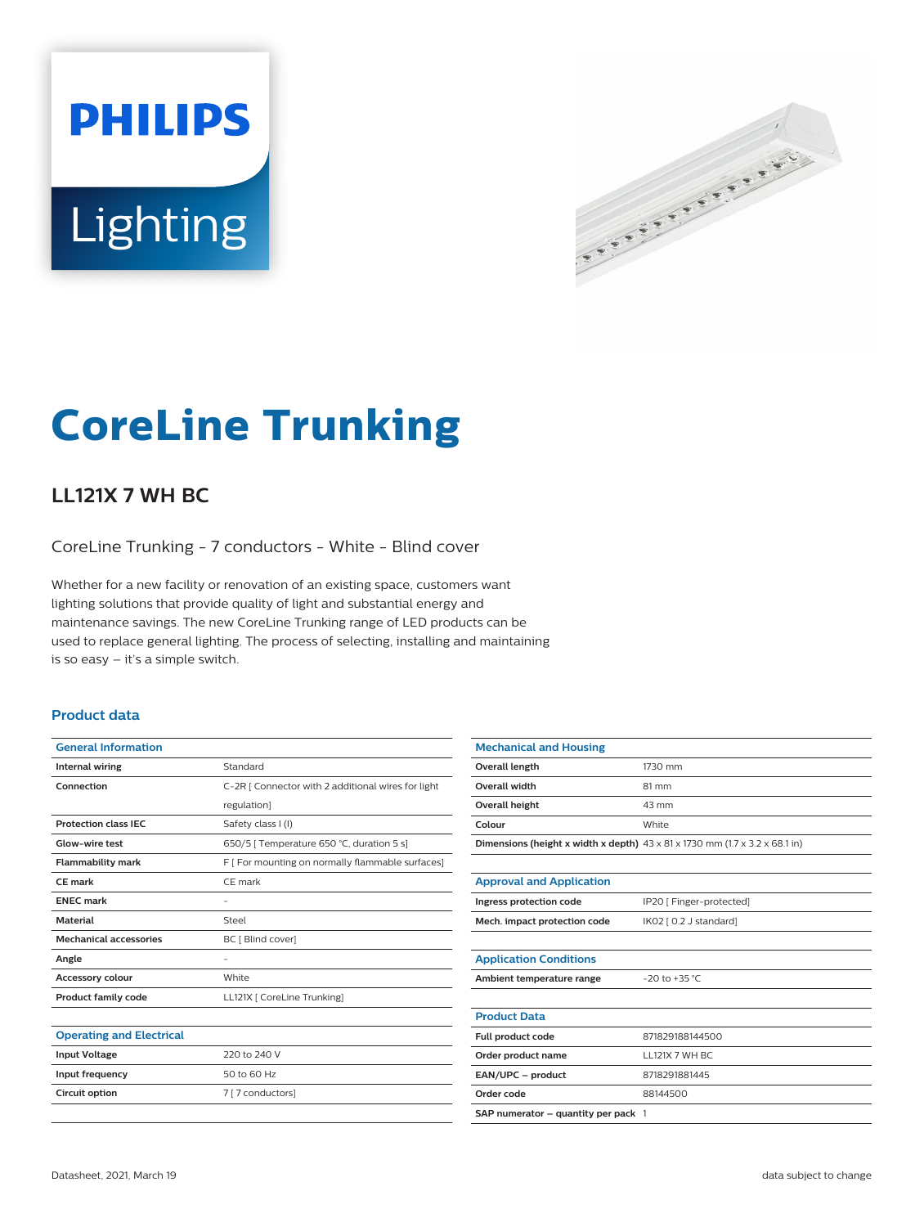# **PHILIPS** Lighting



# **CoreLine Trunking**

## **LL121X 7 WH BC**

CoreLine Trunking - 7 conductors - White - Blind cover

Whether for a new facility or renovation of an existing space, customers want lighting solutions that provide quality of light and substantial energy and maintenance savings. The new CoreLine Trunking range of LED products can be used to replace general lighting. The process of selecting, installing and maintaining is so easy – it's a simple switch.

#### **Product data**

| <b>General Information</b>      |                                                    |  |
|---------------------------------|----------------------------------------------------|--|
| <b>Internal wiring</b>          | Standard                                           |  |
| Connection                      | C-2R   Connector with 2 additional wires for light |  |
|                                 | regulation]                                        |  |
| <b>Protection class IEC</b>     | Safety class I (I)                                 |  |
| Glow-wire test                  | 650/5   Temperature 650 °C, duration 5 s]          |  |
| <b>Flammability mark</b>        | F [ For mounting on normally flammable surfaces]   |  |
| CF mark                         | CE mark                                            |  |
| <b>ENEC mark</b>                | -                                                  |  |
| <b>Material</b>                 | Steel                                              |  |
| <b>Mechanical accessories</b>   | BC [ Blind cover]                                  |  |
| Angle                           |                                                    |  |
| <b>Accessory colour</b>         | White                                              |  |
| <b>Product family code</b>      | LL121X   CoreLine Trunking]                        |  |
|                                 |                                                    |  |
| <b>Operating and Electrical</b> |                                                    |  |

| S <sub>1</sub>       |                   |  |
|----------------------|-------------------|--|
| <b>Input Voltage</b> | 220 to 240 V      |  |
| Input frequency      | 50 to 60 Hz       |  |
| Circuit option       | 7 [ 7 conductors] |  |
|                      |                   |  |

| <b>Mechanical and Housing</b>                                                           |                          |  |
|-----------------------------------------------------------------------------------------|--------------------------|--|
| <b>Overall length</b>                                                                   | 1730 mm                  |  |
| Overall width                                                                           | 81 mm                    |  |
| <b>Overall height</b>                                                                   | 43 mm                    |  |
| Colour                                                                                  | White                    |  |
| Dimensions (height x width x depth) $43 \times 81 \times 1730$ mm (1.7 x 3.2 x 68.1 in) |                          |  |
|                                                                                         |                          |  |
| <b>Approval and Application</b>                                                         |                          |  |
| Ingress protection code                                                                 | IP20 [ Finger-protected] |  |
| Mech. impact protection code                                                            | IK02 [ 0.2 J standard]   |  |
|                                                                                         |                          |  |
| <b>Application Conditions</b>                                                           |                          |  |
| Ambient temperature range                                                               | $-20$ to $+35$ °C        |  |
|                                                                                         |                          |  |
| <b>Product Data</b>                                                                     |                          |  |
| Full product code                                                                       | 871829188144500          |  |
| Order product name                                                                      | LL121X 7 WH BC           |  |
| EAN/UPC - product                                                                       | 8718291881445            |  |
| Order code                                                                              | 88144500                 |  |
| SAP numerator $-$ quantity per pack $1$                                                 |                          |  |
|                                                                                         |                          |  |